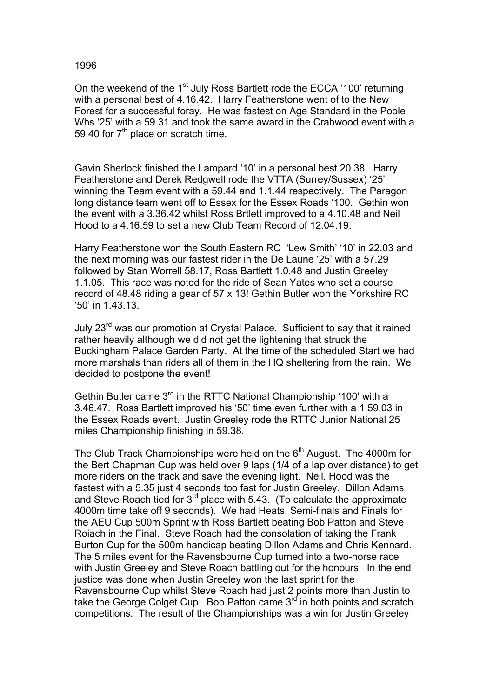## 1996

On the weekend of the 1<sup>st</sup> July Ross Bartlett rode the ECCA '100' returning with a personal best of 4.16.42. Harry Featherstone went of to the New Forest for a successful foray. He was fastest on Age Standard in the Poole Whs '25' with a 59.31 and took the same award in the Crabwood event with a 59.40 for  $7<sup>th</sup>$  place on scratch time.

Gavin Sherlock finished the Lampard '10' in a personal best 20.38. Harry Featherstone and Derek Redgwell rode the VTTA (Surrey/Sussex) '25' winning the Team event with a 59.44 and 1.1.44 respectively. The Paragon long distance team went off to Essex for the Essex Roads '100. Gethin won the event with a 3.36.42 whilst Ross Brtlett improved to a 4.10.48 and Neil Hood to a 4.16.59 to set a new Club Team Record of 12.04.19.

Harry Featherstone won the South Eastern RC 'Lew Smith' '10' in 22.03 and the next morning was our fastest rider in the De Laune '25' with a 57.29 followed by Stan Worrell 58.17, Ross Bartlett 1.0.48 and Justin Greeley 1.1.05. This race was noted for the ride of Sean Yates who set a course record of 48.48 riding a gear of 57 x 13! Gethin Butler won the Yorkshire RC '50' in 1.43.13.

July 23<sup>rd</sup> was our promotion at Crystal Palace. Sufficient to say that it rained rather heavily although we did not get the lightening that struck the Buckingham Palace Garden Party. At the time of the scheduled Start we had more marshals than riders all of them in the HQ sheltering from the rain. We decided to postpone the event!

Gethin Butler came 3<sup>rd</sup> in the RTTC National Championship '100' with a 3.46.47. Ross Bartlett improved his '50' time even further with a 1.59.03 in the Essex Roads event. Justin Greeley rode the RTTC Junior National 25 miles Championship finishing in 59.38.

The Club Track Championships were held on the  $6<sup>th</sup>$  August. The 4000m for the Bert Chapman Cup was held over 9 laps (1/4 of a lap over distance) to get more riders on the track and save the evening light. Neil. Hood was the fastest with a 5.35 just 4 seconds too fast for Justin Greeley. Dillon Adams and Steve Roach tied for  $3^{rd}$  place with 5.43. (To calculate the approximate 4000m time take off 9 seconds). We had Heats, Semi-finals and Finals for the AEU Cup 500m Sprint with Ross Bartlett beating Bob Patton and Steve Roiach in the Final. Steve Roach had the consolation of taking the Frank Burton Cup for the 500m handicap beating Dillon Adams and Chris Kennard. The 5 miles event for the Ravensbourne Cup turned into a two-horse race with Justin Greeley and Steve Roach battling out for the honours. In the end justice was done when Justin Greeley won the last sprint for the Ravensbourne Cup whilst Steve Roach had just 2 points more than Justin to take the George Colget Cup. Bob Patton came  $3^{rd}$  in both points and scratch competitions. The result of the Championships was a win for Justin Greeley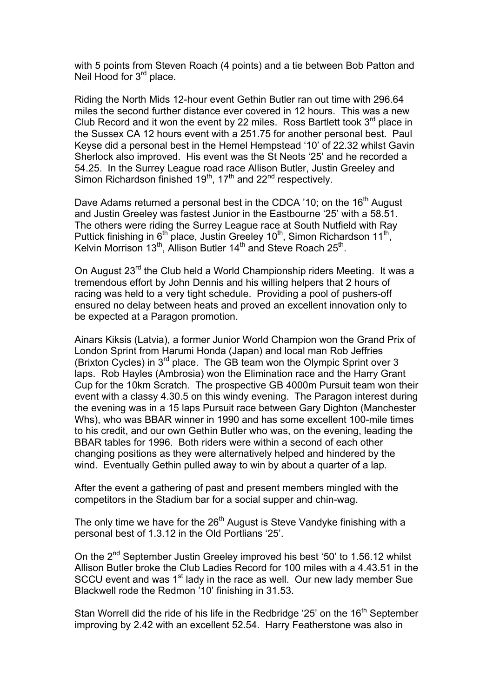with 5 points from Steven Roach (4 points) and a tie between Bob Patton and Neil Hood for 3<sup>rd</sup> place.

Riding the North Mids 12-hour event Gethin Butler ran out time with 296.64 miles the second further distance ever covered in 12 hours. This was a new Club Record and it won the event by 22 miles. Ross Bartlett took  $3<sup>rd</sup>$  place in the Sussex CA 12 hours event with a 251.75 for another personal best. Paul Keyse did a personal best in the Hemel Hempstead '10' of 22.32 whilst Gavin Sherlock also improved. His event was the St Neots '25' and he recorded a 54.25. In the Surrey League road race Allison Butler, Justin Greeley and Simon Richardson finished  $19<sup>th</sup>$ ,  $17<sup>th</sup>$  and  $22<sup>nd</sup>$  respectively.

Dave Adams returned a personal best in the CDCA '10; on the 16<sup>th</sup> August and Justin Greeley was fastest Junior in the Eastbourne '25' with a 58.51. The others were riding the Surrey League race at South Nutfield with Ray Puttick finishing in 6<sup>th</sup> place, Justin Greeley 10<sup>th</sup>, Simon Richardson 11<sup>th</sup>, Kelvin Morrison 13<sup>th</sup>, Allison Butler 14<sup>th</sup> and Steve Roach 25<sup>th</sup>.

On August 23rd the Club held a World Championship riders Meeting. It was a tremendous effort by John Dennis and his willing helpers that 2 hours of racing was held to a very tight schedule. Providing a pool of pushers-off ensured no delay between heats and proved an excellent innovation only to be expected at a Paragon promotion.

Ainars Kiksis (Latvia), a former Junior World Champion won the Grand Prix of London Sprint from Harumi Honda (Japan) and local man Rob Jeffries (Brixton Cycles) in 3rd place. The GB team won the Olympic Sprint over 3 laps. Rob Hayles (Ambrosia) won the Elimination race and the Harry Grant Cup for the 10km Scratch. The prospective GB 4000m Pursuit team won their event with a classy 4.30.5 on this windy evening. The Paragon interest during the evening was in a 15 laps Pursuit race between Gary Dighton (Manchester Whs), who was BBAR winner in 1990 and has some excellent 100-mile times to his credit, and our own Gethin Butler who was, on the evening, leading the BBAR tables for 1996. Both riders were within a second of each other changing positions as they were alternatively helped and hindered by the wind. Eventually Gethin pulled away to win by about a quarter of a lap.

After the event a gathering of past and present members mingled with the competitors in the Stadium bar for a social supper and chin-wag.

The only time we have for the 26<sup>th</sup> August is Steve Vandyke finishing with a personal best of 1.3.12 in the Old Portlians '25'.

On the 2<sup>nd</sup> September Justin Greeley improved his best '50' to 1.56.12 whilst Allison Butler broke the Club Ladies Record for 100 miles with a 4.43.51 in the SCCU event and was 1<sup>st</sup> lady in the race as well. Our new lady member Sue Blackwell rode the Redmon '10' finishing in 31.53.

Stan Worrell did the ride of his life in the Redbridge '25' on the 16<sup>th</sup> September improving by 2.42 with an excellent 52.54. Harry Featherstone was also in